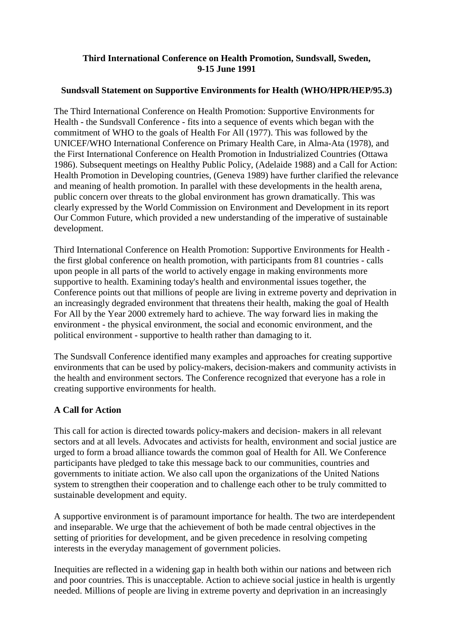#### **Third International Conference on Health Promotion, Sundsvall, Sweden, 9-15 June 1991**

#### **Sundsvall Statement on Supportive Environments for Health (WHO/HPR/HEP/95.3)**

The Third International Conference on Health Promotion: Supportive Environments for Health - the Sundsvall Conference - fits into a sequence of events which began with the commitment of WHO to the goals of Health For All (1977). This was followed by the UNICEF/WHO International Conference on Primary Health Care, in Alma-Ata (1978), and the First International Conference on Health Promotion in Industrialized Countries (Ottawa 1986). Subsequent meetings on Healthy Public Policy, (Adelaide 1988) and a Call for Action: Health Promotion in Developing countries, (Geneva 1989) have further clarified the relevance and meaning of health promotion. In parallel with these developments in the health arena, public concern over threats to the global environment has grown dramatically. This was clearly expressed by the World Commission on Environment and Development in its report Our Common Future, which provided a new understanding of the imperative of sustainable development.

Third International Conference on Health Promotion: Supportive Environments for Health the first global conference on health promotion, with participants from 81 countries - calls upon people in all parts of the world to actively engage in making environments more supportive to health. Examining today's health and environmental issues together, the Conference points out that millions of people are living in extreme poverty and deprivation in an increasingly degraded environment that threatens their health, making the goal of Health For All by the Year 2000 extremely hard to achieve. The way forward lies in making the environment - the physical environment, the social and economic environment, and the political environment - supportive to health rather than damaging to it.

The Sundsvall Conference identified many examples and approaches for creating supportive environments that can be used by policy-makers, decision-makers and community activists in the health and environment sectors. The Conference recognized that everyone has a role in creating supportive environments for health.

# **A Call for Action**

This call for action is directed towards policy-makers and decision- makers in all relevant sectors and at all levels. Advocates and activists for health, environment and social justice are urged to form a broad alliance towards the common goal of Health for All. We Conference participants have pledged to take this message back to our communities, countries and governments to initiate action. We also call upon the organizations of the United Nations system to strengthen their cooperation and to challenge each other to be truly committed to sustainable development and equity.

A supportive environment is of paramount importance for health. The two are interdependent and inseparable. We urge that the achievement of both be made central objectives in the setting of priorities for development, and be given precedence in resolving competing interests in the everyday management of government policies.

Inequities are reflected in a widening gap in health both within our nations and between rich and poor countries. This is unacceptable. Action to achieve social justice in health is urgently needed. Millions of people are living in extreme poverty and deprivation in an increasingly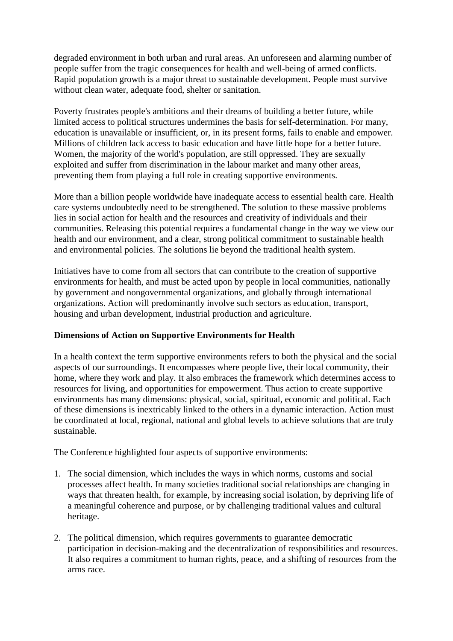degraded environment in both urban and rural areas. An unforeseen and alarming number of people suffer from the tragic consequences for health and well-being of armed conflicts. Rapid population growth is a major threat to sustainable development. People must survive without clean water, adequate food, shelter or sanitation.

Poverty frustrates people's ambitions and their dreams of building a better future, while limited access to political structures undermines the basis for self-determination. For many, education is unavailable or insufficient, or, in its present forms, fails to enable and empower. Millions of children lack access to basic education and have little hope for a better future. Women, the majority of the world's population, are still oppressed. They are sexually exploited and suffer from discrimination in the labour market and many other areas, preventing them from playing a full role in creating supportive environments.

More than a billion people worldwide have inadequate access to essential health care. Health care systems undoubtedly need to be strengthened. The solution to these massive problems lies in social action for health and the resources and creativity of individuals and their communities. Releasing this potential requires a fundamental change in the way we view our health and our environment, and a clear, strong political commitment to sustainable health and environmental policies. The solutions lie beyond the traditional health system.

Initiatives have to come from all sectors that can contribute to the creation of supportive environments for health, and must be acted upon by people in local communities, nationally by government and nongovernmental organizations, and globally through international organizations. Action will predominantly involve such sectors as education, transport, housing and urban development, industrial production and agriculture.

# **Dimensions of Action on Supportive Environments for Health**

In a health context the term supportive environments refers to both the physical and the social aspects of our surroundings. It encompasses where people live, their local community, their home, where they work and play. It also embraces the framework which determines access to resources for living, and opportunities for empowerment. Thus action to create supportive environments has many dimensions: physical, social, spiritual, economic and political. Each of these dimensions is inextricably linked to the others in a dynamic interaction. Action must be coordinated at local, regional, national and global levels to achieve solutions that are truly sustainable.

The Conference highlighted four aspects of supportive environments:

- 1. The social dimension, which includes the ways in which norms, customs and social processes affect health. In many societies traditional social relationships are changing in ways that threaten health, for example, by increasing social isolation, by depriving life of a meaningful coherence and purpose, or by challenging traditional values and cultural heritage.
- 2. The political dimension, which requires governments to guarantee democratic participation in decision-making and the decentralization of responsibilities and resources. It also requires a commitment to human rights, peace, and a shifting of resources from the arms race.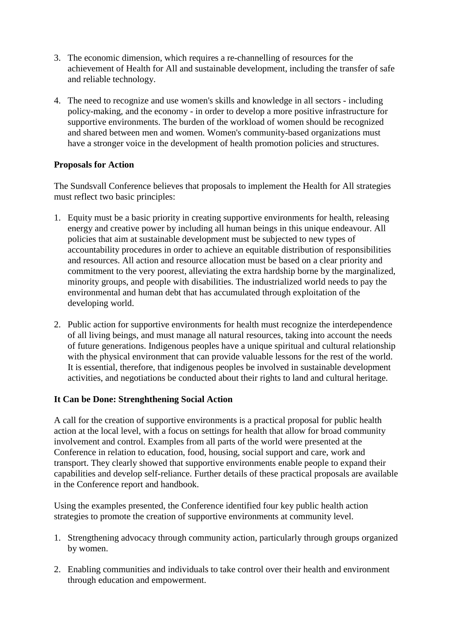- 3. The economic dimension, which requires a re-channelling of resources for the achievement of Health for All and sustainable development, including the transfer of safe and reliable technology.
- 4. The need to recognize and use women's skills and knowledge in all sectors including policy-making, and the economy - in order to develop a more positive infrastructure for supportive environments. The burden of the workload of women should be recognized and shared between men and women. Women's community-based organizations must have a stronger voice in the development of health promotion policies and structures.

# **Proposals for Action**

The Sundsvall Conference believes that proposals to implement the Health for All strategies must reflect two basic principles:

- 1. Equity must be a basic priority in creating supportive environments for health, releasing energy and creative power by including all human beings in this unique endeavour. All policies that aim at sustainable development must be subjected to new types of accountability procedures in order to achieve an equitable distribution of responsibilities and resources. All action and resource allocation must be based on a clear priority and commitment to the very poorest, alleviating the extra hardship borne by the marginalized, minority groups, and people with disabilities. The industrialized world needs to pay the environmental and human debt that has accumulated through exploitation of the developing world.
- 2. Public action for supportive environments for health must recognize the interdependence of all living beings, and must manage all natural resources, taking into account the needs of future generations. Indigenous peoples have a unique spiritual and cultural relationship with the physical environment that can provide valuable lessons for the rest of the world. It is essential, therefore, that indigenous peoples be involved in sustainable development activities, and negotiations be conducted about their rights to land and cultural heritage.

# **It Can be Done: Strenghthening Social Action**

A call for the creation of supportive environments is a practical proposal for public health action at the local level, with a focus on settings for health that allow for broad community involvement and control. Examples from all parts of the world were presented at the Conference in relation to education, food, housing, social support and care, work and transport. They clearly showed that supportive environments enable people to expand their capabilities and develop self-reliance. Further details of these practical proposals are available in the Conference report and handbook.

Using the examples presented, the Conference identified four key public health action strategies to promote the creation of supportive environments at community level.

- 1. Strengthening advocacy through community action, particularly through groups organized by women.
- 2. Enabling communities and individuals to take control over their health and environment through education and empowerment.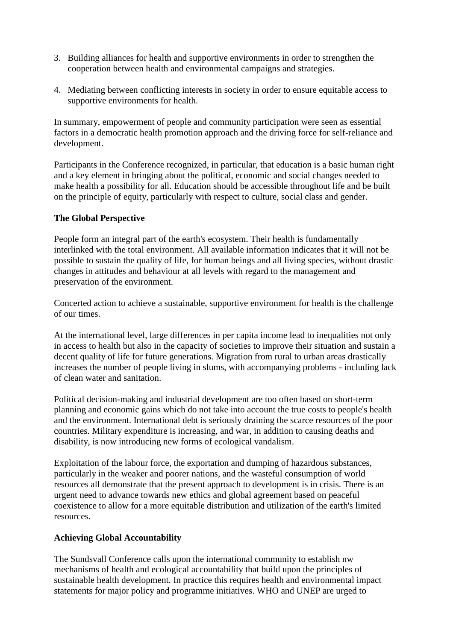- 3. Building alliances for health and supportive environments in order to strengthen the cooperation between health and environmental campaigns and strategies.
- 4. Mediating between conflicting interests in society in order to ensure equitable access to supportive environments for health.

In summary, empowerment of people and community participation were seen as essential factors in a democratic health promotion approach and the driving force for self-reliance and development.

Participants in the Conference recognized, in particular, that education is a basic human right and a key element in bringing about the political, economic and social changes needed to make health a possibility for all. Education should be accessible throughout life and be built on the principle of equity, particularly with respect to culture, social class and gender.

#### **The Global Perspective**

People form an integral part of the earth's ecosystem. Their health is fundamentally interlinked with the total environment. All available information indicates that it will not be possible to sustain the quality of life, for human beings and all living species, without drastic changes in attitudes and behaviour at all levels with regard to the management and preservation of the environment.

Concerted action to achieve a sustainable, supportive environment for health is the challenge of our times.

At the international level, large differences in per capita income lead to inequalities not only in access to health but also in the capacity of societies to improve their situation and sustain a decent quality of life for future generations. Migration from rural to urban areas drastically increases the number of people living in slums, with accompanying problems - including lack of clean water and sanitation.

Political decision-making and industrial development are too often based on short-term planning and economic gains which do not take into account the true costs to people's health and the environment. International debt is seriously draining the scarce resources of the poor countries. Military expenditure is increasing, and war, in addition to causing deaths and disability, is now introducing new forms of ecological vandalism.

Exploitation of the labour force, the exportation and dumping of hazardous substances, particularly in the weaker and poorer nations, and the wasteful consumption of world resources all demonstrate that the present approach to development is in crisis. There is an urgent need to advance towards new ethics and global agreement based on peaceful coexistence to allow for a more equitable distribution and utilization of the earth's limited resources.

# **Achieving Global Accountability**

The Sundsvall Conference calls upon the international community to establish nw mechanisms of health and ecological accountability that build upon the principles of sustainable health development. In practice this requires health and environmental impact statements for major policy and programme initiatives. WHO and UNEP are urged to